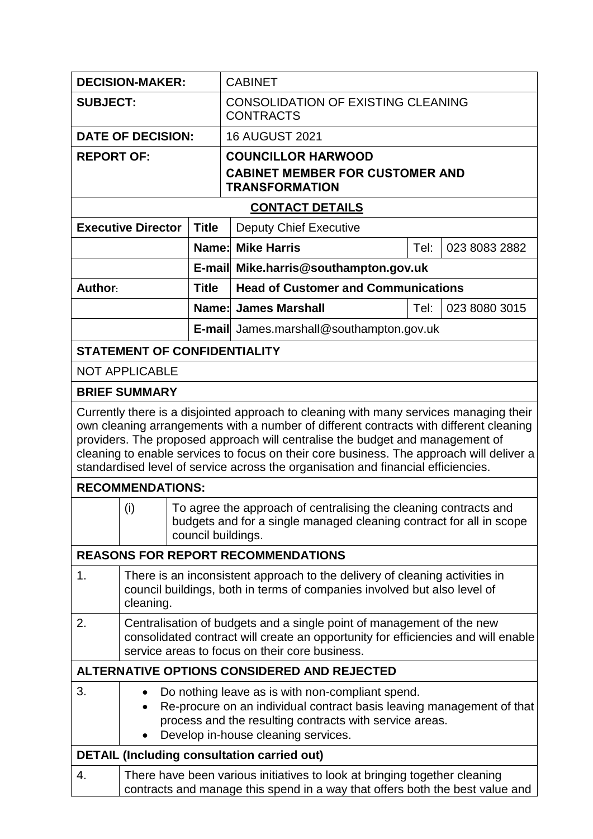| <b>DECISION-MAKER:</b>                                                                                                                                                                                                                                                                                                                                                                                                                             |                                                                                                                                                                                                                             |              |  | <b>CABINET</b>                                                  |  |               |  |  |
|----------------------------------------------------------------------------------------------------------------------------------------------------------------------------------------------------------------------------------------------------------------------------------------------------------------------------------------------------------------------------------------------------------------------------------------------------|-----------------------------------------------------------------------------------------------------------------------------------------------------------------------------------------------------------------------------|--------------|--|-----------------------------------------------------------------|--|---------------|--|--|
| <b>SUBJECT:</b>                                                                                                                                                                                                                                                                                                                                                                                                                                    |                                                                                                                                                                                                                             |              |  | <b>CONSOLIDATION OF EXISTING CLEANING</b><br><b>CONTRACTS</b>   |  |               |  |  |
| <b>DATE OF DECISION:</b>                                                                                                                                                                                                                                                                                                                                                                                                                           |                                                                                                                                                                                                                             |              |  | <b>16 AUGUST 2021</b>                                           |  |               |  |  |
| <b>REPORT OF:</b>                                                                                                                                                                                                                                                                                                                                                                                                                                  |                                                                                                                                                                                                                             |              |  | <b>COUNCILLOR HARWOOD</b>                                       |  |               |  |  |
|                                                                                                                                                                                                                                                                                                                                                                                                                                                    |                                                                                                                                                                                                                             |              |  | <b>CABINET MEMBER FOR CUSTOMER AND</b><br><b>TRANSFORMATION</b> |  |               |  |  |
|                                                                                                                                                                                                                                                                                                                                                                                                                                                    |                                                                                                                                                                                                                             |              |  | <b>CONTACT DETAILS</b>                                          |  |               |  |  |
|                                                                                                                                                                                                                                                                                                                                                                                                                                                    | <b>Executive Director</b>                                                                                                                                                                                                   | <b>Title</b> |  | <b>Deputy Chief Executive</b>                                   |  |               |  |  |
|                                                                                                                                                                                                                                                                                                                                                                                                                                                    |                                                                                                                                                                                                                             |              |  | <b>Name: Mike Harris</b><br>Tel:                                |  | 023 8083 2882 |  |  |
|                                                                                                                                                                                                                                                                                                                                                                                                                                                    |                                                                                                                                                                                                                             |              |  | E-mail Mike.harris@southampton.gov.uk                           |  |               |  |  |
| Author:                                                                                                                                                                                                                                                                                                                                                                                                                                            |                                                                                                                                                                                                                             | <b>Title</b> |  | <b>Head of Customer and Communications</b>                      |  |               |  |  |
|                                                                                                                                                                                                                                                                                                                                                                                                                                                    |                                                                                                                                                                                                                             | Name:        |  | <b>James Marshall</b><br>Tel:                                   |  | 023 8080 3015 |  |  |
|                                                                                                                                                                                                                                                                                                                                                                                                                                                    |                                                                                                                                                                                                                             |              |  | <b>E-mail</b> James.marshall@southampton.gov.uk                 |  |               |  |  |
|                                                                                                                                                                                                                                                                                                                                                                                                                                                    | <b>STATEMENT OF CONFIDENTIALITY</b>                                                                                                                                                                                         |              |  |                                                                 |  |               |  |  |
|                                                                                                                                                                                                                                                                                                                                                                                                                                                    | <b>NOT APPLICABLE</b>                                                                                                                                                                                                       |              |  |                                                                 |  |               |  |  |
|                                                                                                                                                                                                                                                                                                                                                                                                                                                    | <b>BRIEF SUMMARY</b>                                                                                                                                                                                                        |              |  |                                                                 |  |               |  |  |
| Currently there is a disjointed approach to cleaning with many services managing their<br>own cleaning arrangements with a number of different contracts with different cleaning<br>providers. The proposed approach will centralise the budget and management of<br>cleaning to enable services to focus on their core business. The approach will deliver a<br>standardised level of service across the organisation and financial efficiencies. |                                                                                                                                                                                                                             |              |  |                                                                 |  |               |  |  |
| <b>RECOMMENDATIONS:</b>                                                                                                                                                                                                                                                                                                                                                                                                                            |                                                                                                                                                                                                                             |              |  |                                                                 |  |               |  |  |
|                                                                                                                                                                                                                                                                                                                                                                                                                                                    | (i)<br>To agree the approach of centralising the cleaning contracts and<br>budgets and for a single managed cleaning contract for all in scope<br>council buildings.                                                        |              |  |                                                                 |  |               |  |  |
|                                                                                                                                                                                                                                                                                                                                                                                                                                                    |                                                                                                                                                                                                                             |              |  | <b>REASONS FOR REPORT RECOMMENDATIONS</b>                       |  |               |  |  |
| 1.                                                                                                                                                                                                                                                                                                                                                                                                                                                 | There is an inconsistent approach to the delivery of cleaning activities in<br>council buildings, both in terms of companies involved but also level of<br>cleaning.                                                        |              |  |                                                                 |  |               |  |  |
| 2.                                                                                                                                                                                                                                                                                                                                                                                                                                                 | Centralisation of budgets and a single point of management of the new<br>consolidated contract will create an opportunity for efficiencies and will enable<br>service areas to focus on their core business.                |              |  |                                                                 |  |               |  |  |
| ALTERNATIVE OPTIONS CONSIDERED AND REJECTED                                                                                                                                                                                                                                                                                                                                                                                                        |                                                                                                                                                                                                                             |              |  |                                                                 |  |               |  |  |
| 3.                                                                                                                                                                                                                                                                                                                                                                                                                                                 | Do nothing leave as is with non-compliant spend.<br>Re-procure on an individual contract basis leaving management of that<br>process and the resulting contracts with service areas.<br>Develop in-house cleaning services. |              |  |                                                                 |  |               |  |  |
| <b>DETAIL (Including consultation carried out)</b>                                                                                                                                                                                                                                                                                                                                                                                                 |                                                                                                                                                                                                                             |              |  |                                                                 |  |               |  |  |
| 4.                                                                                                                                                                                                                                                                                                                                                                                                                                                 | There have been various initiatives to look at bringing together cleaning<br>contracts and manage this spend in a way that offers both the best value and                                                                   |              |  |                                                                 |  |               |  |  |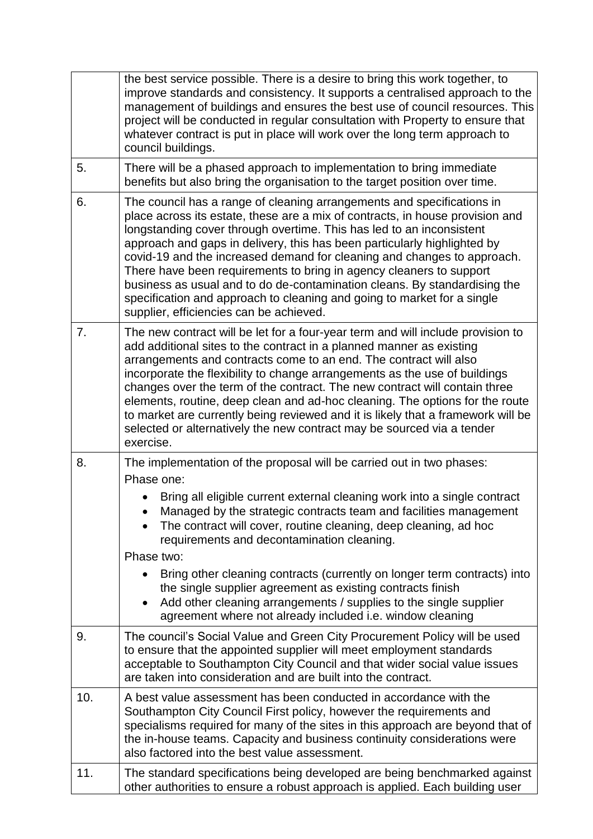|     | the best service possible. There is a desire to bring this work together, to<br>improve standards and consistency. It supports a centralised approach to the<br>management of buildings and ensures the best use of council resources. This<br>project will be conducted in regular consultation with Property to ensure that<br>whatever contract is put in place will work over the long term approach to<br>council buildings.                                                                                                                                                                                                                                |  |  |  |  |  |
|-----|------------------------------------------------------------------------------------------------------------------------------------------------------------------------------------------------------------------------------------------------------------------------------------------------------------------------------------------------------------------------------------------------------------------------------------------------------------------------------------------------------------------------------------------------------------------------------------------------------------------------------------------------------------------|--|--|--|--|--|
| 5.  | There will be a phased approach to implementation to bring immediate<br>benefits but also bring the organisation to the target position over time.                                                                                                                                                                                                                                                                                                                                                                                                                                                                                                               |  |  |  |  |  |
| 6.  | The council has a range of cleaning arrangements and specifications in<br>place across its estate, these are a mix of contracts, in house provision and<br>longstanding cover through overtime. This has led to an inconsistent<br>approach and gaps in delivery, this has been particularly highlighted by<br>covid-19 and the increased demand for cleaning and changes to approach.<br>There have been requirements to bring in agency cleaners to support<br>business as usual and to do de-contamination cleans. By standardising the<br>specification and approach to cleaning and going to market for a single<br>supplier, efficiencies can be achieved. |  |  |  |  |  |
| 7.  | The new contract will be let for a four-year term and will include provision to<br>add additional sites to the contract in a planned manner as existing<br>arrangements and contracts come to an end. The contract will also<br>incorporate the flexibility to change arrangements as the use of buildings<br>changes over the term of the contract. The new contract will contain three<br>elements, routine, deep clean and ad-hoc cleaning. The options for the route<br>to market are currently being reviewed and it is likely that a framework will be<br>selected or alternatively the new contract may be sourced via a tender<br>exercise.              |  |  |  |  |  |
| 8.  | The implementation of the proposal will be carried out in two phases:                                                                                                                                                                                                                                                                                                                                                                                                                                                                                                                                                                                            |  |  |  |  |  |
|     | Phase one:<br>Bring all eligible current external cleaning work into a single contract<br>Managed by the strategic contracts team and facilities management<br>The contract will cover, routine cleaning, deep cleaning, ad hoc<br>requirements and decontamination cleaning.<br>Phase two:                                                                                                                                                                                                                                                                                                                                                                      |  |  |  |  |  |
|     | Bring other cleaning contracts (currently on longer term contracts) into<br>the single supplier agreement as existing contracts finish<br>Add other cleaning arrangements / supplies to the single supplier<br>agreement where not already included i.e. window cleaning                                                                                                                                                                                                                                                                                                                                                                                         |  |  |  |  |  |
| 9.  | The council's Social Value and Green City Procurement Policy will be used<br>to ensure that the appointed supplier will meet employment standards<br>acceptable to Southampton City Council and that wider social value issues<br>are taken into consideration and are built into the contract.                                                                                                                                                                                                                                                                                                                                                                  |  |  |  |  |  |
| 10. | A best value assessment has been conducted in accordance with the<br>Southampton City Council First policy, however the requirements and<br>specialisms required for many of the sites in this approach are beyond that of<br>the in-house teams. Capacity and business continuity considerations were<br>also factored into the best value assessment.                                                                                                                                                                                                                                                                                                          |  |  |  |  |  |
| 11. | The standard specifications being developed are being benchmarked against<br>other authorities to ensure a robust approach is applied. Each building user                                                                                                                                                                                                                                                                                                                                                                                                                                                                                                        |  |  |  |  |  |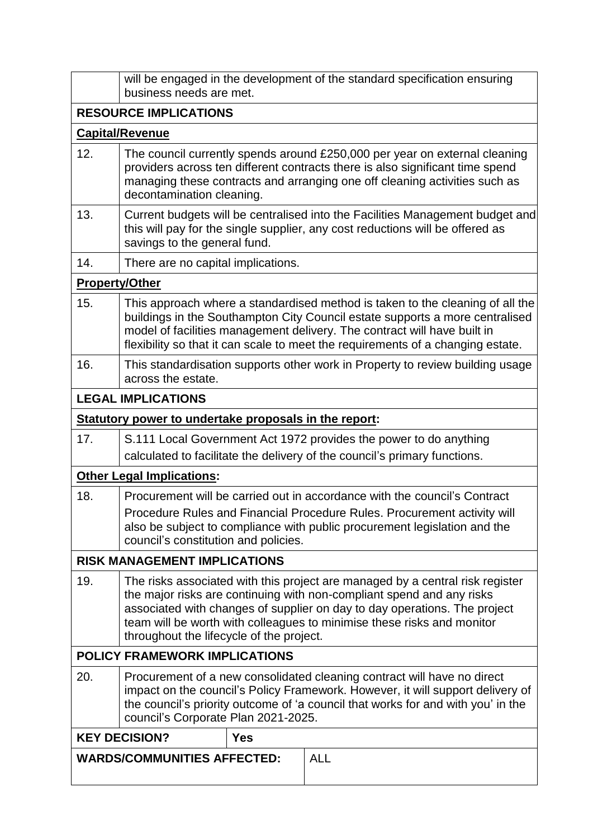|                                                  | will be engaged in the development of the standard specification ensuring<br>business needs are met.                                                                                                                                                                                                                                                      |            |                                                                           |  |  |  |  |  |  |
|--------------------------------------------------|-----------------------------------------------------------------------------------------------------------------------------------------------------------------------------------------------------------------------------------------------------------------------------------------------------------------------------------------------------------|------------|---------------------------------------------------------------------------|--|--|--|--|--|--|
|                                                  | <b>RESOURCE IMPLICATIONS</b>                                                                                                                                                                                                                                                                                                                              |            |                                                                           |  |  |  |  |  |  |
| <b>Capital/Revenue</b>                           |                                                                                                                                                                                                                                                                                                                                                           |            |                                                                           |  |  |  |  |  |  |
| 12.                                              | The council currently spends around £250,000 per year on external cleaning<br>providers across ten different contracts there is also significant time spend<br>managing these contracts and arranging one off cleaning activities such as<br>decontamination cleaning.                                                                                    |            |                                                                           |  |  |  |  |  |  |
| 13.                                              | Current budgets will be centralised into the Facilities Management budget and<br>this will pay for the single supplier, any cost reductions will be offered as<br>savings to the general fund.                                                                                                                                                            |            |                                                                           |  |  |  |  |  |  |
| 14.                                              | There are no capital implications.                                                                                                                                                                                                                                                                                                                        |            |                                                                           |  |  |  |  |  |  |
|                                                  | <b>Property/Other</b>                                                                                                                                                                                                                                                                                                                                     |            |                                                                           |  |  |  |  |  |  |
| 15.                                              | This approach where a standardised method is taken to the cleaning of all the<br>buildings in the Southampton City Council estate supports a more centralised<br>model of facilities management delivery. The contract will have built in<br>flexibility so that it can scale to meet the requirements of a changing estate.                              |            |                                                                           |  |  |  |  |  |  |
| 16.                                              | This standardisation supports other work in Property to review building usage<br>across the estate.                                                                                                                                                                                                                                                       |            |                                                                           |  |  |  |  |  |  |
|                                                  | <b>LEGAL IMPLICATIONS</b>                                                                                                                                                                                                                                                                                                                                 |            |                                                                           |  |  |  |  |  |  |
|                                                  | Statutory power to undertake proposals in the report:                                                                                                                                                                                                                                                                                                     |            |                                                                           |  |  |  |  |  |  |
| 17.                                              | S.111 Local Government Act 1972 provides the power to do anything                                                                                                                                                                                                                                                                                         |            |                                                                           |  |  |  |  |  |  |
|                                                  |                                                                                                                                                                                                                                                                                                                                                           |            | calculated to facilitate the delivery of the council's primary functions. |  |  |  |  |  |  |
|                                                  | <b>Other Legal Implications:</b>                                                                                                                                                                                                                                                                                                                          |            |                                                                           |  |  |  |  |  |  |
| 18.                                              | Procurement will be carried out in accordance with the council's Contract<br>Procedure Rules and Financial Procedure Rules. Procurement activity will<br>also be subject to compliance with public procurement legislation and the<br>council's constitution and policies.                                                                                |            |                                                                           |  |  |  |  |  |  |
|                                                  | <b>RISK MANAGEMENT IMPLICATIONS</b>                                                                                                                                                                                                                                                                                                                       |            |                                                                           |  |  |  |  |  |  |
| 19.                                              | The risks associated with this project are managed by a central risk register<br>the major risks are continuing with non-compliant spend and any risks<br>associated with changes of supplier on day to day operations. The project<br>team will be worth with colleagues to minimise these risks and monitor<br>throughout the lifecycle of the project. |            |                                                                           |  |  |  |  |  |  |
|                                                  | <b>POLICY FRAMEWORK IMPLICATIONS</b>                                                                                                                                                                                                                                                                                                                      |            |                                                                           |  |  |  |  |  |  |
| 20.                                              | Procurement of a new consolidated cleaning contract will have no direct<br>impact on the council's Policy Framework. However, it will support delivery of<br>the council's priority outcome of 'a council that works for and with you' in the<br>council's Corporate Plan 2021-2025.                                                                      |            |                                                                           |  |  |  |  |  |  |
|                                                  | <b>KEY DECISION?</b>                                                                                                                                                                                                                                                                                                                                      | <b>Yes</b> |                                                                           |  |  |  |  |  |  |
| <b>ALL</b><br><b>WARDS/COMMUNITIES AFFECTED:</b> |                                                                                                                                                                                                                                                                                                                                                           |            |                                                                           |  |  |  |  |  |  |